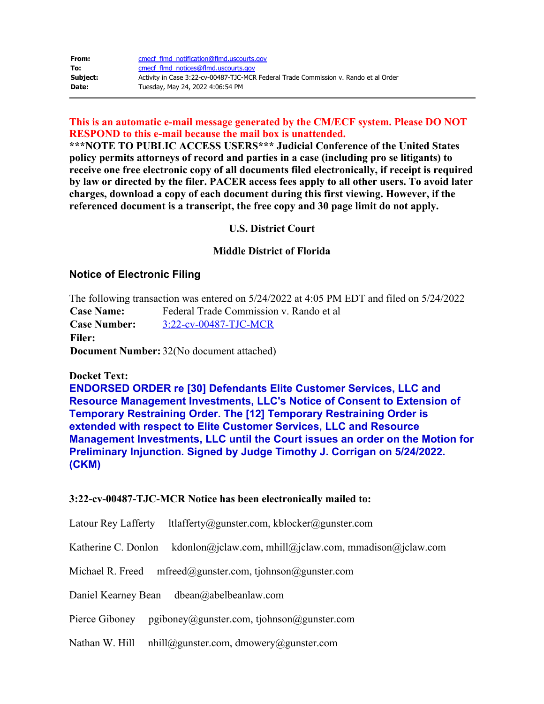| From:    | cmecf flmd_notification@flmd.uscourts.gov                                            |
|----------|--------------------------------------------------------------------------------------|
| To:      | cmecf flmd notices@flmd.uscourts.gov                                                 |
| Subject: | Activity in Case 3:22-cv-00487-TJC-MCR Federal Trade Commission v. Rando et al Order |
| Date:    | Tuesday, May 24, 2022 4:06:54 PM                                                     |

# **This is an automatic e-mail message generated by the CM/ECF system. Please DO NOT RESPOND to this e-mail because the mail box is unattended.**

**\*\*\*NOTE TO PUBLIC ACCESS USERS\*\*\* Judicial Conference of the United States policy permits attorneys of record and parties in a case (including pro se litigants) to receive one free electronic copy of all documents filed electronically, if receipt is required by law or directed by the filer. PACER access fees apply to all other users. To avoid later charges, download a copy of each document during this first viewing. However, if the referenced document is a transcript, the free copy and 30 page limit do not apply.**

## **U.S. District Court**

### **Middle District of Florida**

## **Notice of Electronic Filing**

The following transaction was entered on 5/24/2022 at 4:05 PM EDT and filed on 5/24/2022 **Case Name:** Federal Trade Commission v. Rando et al **Case Number:** [3:22-cv-00487-TJC-MCR](https://ecf.flmd.uscourts.gov/cgi-bin/DktRpt.pl?401333) **Filer: Document Number:** 32(No document attached)

#### **Docket Text:**

**ENDORSED ORDER re [30] Defendants Elite Customer Services, LLC and Resource Management Investments, LLC's Notice of Consent to Extension of Temporary Restraining Order. The [12] Temporary Restraining Order is extended with respect to Elite Customer Services, LLC and Resource Management Investments, LLC until the Court issues an order on the Motion for Preliminary Injunction. Signed by Judge Timothy J. Corrigan on 5/24/2022. (CKM)**

#### **3:22-cv-00487-TJC-MCR Notice has been electronically mailed to:**

Latour Rey Lafferty ltlafferty@gunster.com, kblocker@gunster.com

Katherine C. Donlon kdonlon@jclaw.com, mhill@jclaw.com, mmadison@jclaw.com

Michael R. Freed mfreed@gunster.com, tjohnson@gunster.com

Daniel Kearney Bean dbean@abelbeanlaw.com

Pierce Giboney pgiboney@gunster.com, tjohnson@gunster.com

Nathan W. Hill nhill@gunster.com, dmowery@gunster.com